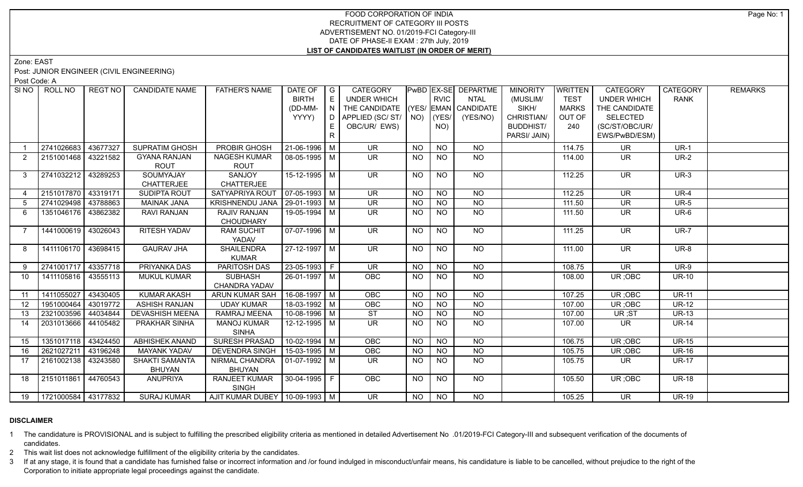## FOOD CORPORATION OF INDIA RECRUITMENT OF CATEGORY III POSTS ADVERTISEMENT NO. 01/2019-FCI Category-III DATE OF PHASE-II EXAM : 27th July, 2019 **LIST OF CANDIDATES WAITLIST (IN ORDER OF MERIT)**

Zone: EAST

Post: JUNIOR ENGINEER (CIVIL ENGINEERING)

Post Code: A

|                | SINO   ROLL NO             | REGT NO  | <b>CANDIDATE NAME</b>  | <b>FATHER'S NAME</b>              | DATE OF            | $\overline{\phantom{a}}$ G | <b>CATEGORY</b>                |                 |             | PwBD   EX-SE   DEPARTME | <b>MINORITY</b>  | WRITTEN      | CATEGORY                 | <b>CATEGORY</b> | <b>REMARKS</b> |
|----------------|----------------------------|----------|------------------------|-----------------------------------|--------------------|----------------------------|--------------------------------|-----------------|-------------|-------------------------|------------------|--------------|--------------------------|-----------------|----------------|
|                |                            |          |                        |                                   | <b>BIRTH</b>       | E                          | <b>UNDER WHICH</b>             |                 | <b>RVIC</b> | <b>NTAL</b>             | (MUSLIM/         | <b>TEST</b>  | <b>UNDER WHICH</b>       | <b>RANK</b>     |                |
|                |                            |          |                        |                                   | (DD-MM-            | N.                         | THE CANDIDATE                  |                 |             | $(YES/EMAN)$ CANDIDATE  | SIKH/            | <b>MARKS</b> | THE CANDIDATE            |                 |                |
|                |                            |          |                        |                                   | YYYY)              | D.                         | APPLIED (SC/ ST/   NO)   (YES/ |                 |             | (YES/NO)                | CHRISTIAN/       | OUT OF       | <b>SELECTED</b>          |                 |                |
|                |                            |          |                        |                                   |                    | E                          | OBC/UR/ EWS)                   |                 | NO)         |                         | <b>BUDDHIST/</b> | 240          | (SC/ST/OBC/UR/           |                 |                |
|                |                            |          |                        |                                   |                    | R.                         |                                |                 |             |                         | PARSI/ JAIN)     |              | EWS/PwBD/ESM)            |                 |                |
|                | 2741026683                 | 43677327 | <b>SUPRATIM GHOSH</b>  | PROBIR GHOSH                      | $21-06-1996$ M     |                            | <b>UR</b>                      | NO.             | <b>NO</b>   | NO.                     |                  | 114.75       | UR                       | $UR-1$          |                |
| $\overline{2}$ | 2151001468 43221582        |          | <b>GYANA RANJAN</b>    | <b>NAGESH KUMAR</b>               | 08-05-1995 M       |                            | UR.                            | NO.             | <b>NO</b>   | <b>NO</b>               |                  | 114.00       | UR.                      | $UR-2$          |                |
|                |                            |          | ROUT                   | <b>ROUT</b>                       |                    |                            |                                |                 |             |                         |                  |              |                          |                 |                |
| 3              | 2741032212 43289253        |          | SOUMYAJAY              | SANJOY                            | $15-12-1995$ M     |                            | <b>UR</b>                      | NO              | <b>NO</b>   | <b>NO</b>               |                  | 112.25       | <b>UR</b>                | $UR-3$          |                |
|                |                            |          | <b>CHATTERJEE</b>      | <b>CHATTERJEE</b>                 |                    |                            |                                |                 |             |                         |                  |              |                          |                 |                |
|                | 2151017870 43319171        |          | <b>SUDIPTA ROUT</b>    | SATYAPRIYA ROUT                   | $07-05-1993$ M     |                            | <b>UR</b>                      | NO.             | <b>NO</b>   | <b>NO</b>               |                  | 112.25       | <b>UR</b>                | <b>UR-4</b>     |                |
| 5              | 2741029498 43788863        |          | <b>MAINAK JANA</b>     | KRISHNENDU JANA                   | $29-01-1993$ M     |                            | <b>UR</b>                      | <b>NO</b>       | <b>NO</b>   | N <sub>O</sub>          |                  | 111.50       | <b>UR</b>                | <b>UR-5</b>     |                |
| 6              | 1351046176 43862382        |          | RAVI RANJAN            | <b>RAJIV RANJAN</b>               | 19-05-1994 M       |                            | UR.                            | $\overline{NQ}$ | <b>NO</b>   | $\overline{NQ}$         |                  | 111.50       | UR.                      | $UR-6$          |                |
|                |                            |          |                        | <b>CHOUDHARY</b>                  |                    |                            |                                |                 |             |                         |                  |              |                          |                 |                |
| 7              | 1441000619 43026043        |          | <b>RITESH YADAV</b>    | <b>RAM SUCHIT</b>                 | $07-07-1996$ M     |                            | <b>UR</b>                      | NO.             | <b>NO</b>   | NO                      |                  | 111.25       | <b>UR</b>                | <b>UR-7</b>     |                |
|                |                            |          |                        | YADAV                             |                    |                            |                                |                 |             |                         |                  |              |                          |                 |                |
| 8              | 1411106170 43698415        |          | <b>GAURAV JHA</b>      | <b>SHAILENDRA</b>                 | 27-12-1997 M       |                            | <b>UR</b>                      | <b>NO</b>       | <b>NO</b>   | NO                      |                  | 111.00       | <b>UR</b>                | <b>UR-8</b>     |                |
|                |                            |          |                        | <b>KUMAR</b>                      |                    |                            |                                |                 |             |                         |                  |              |                          |                 |                |
| 9              | 2741001717                 | 43357718 | PRIYANKA DAS           | PARITOSH DAS                      | $23 - 05 - 1993$ F |                            | UR                             | $N$ O           | NO          | $N$ O                   |                  | 108.75       | $\overline{\mathsf{UR}}$ | $UR-9$          |                |
| 10             | 1411105816 43555113        |          | <b>MUKUL KUMAR</b>     | SUBHASH                           | 26-01-1997 M       |                            | <b>OBC</b>                     | NO.             | <b>NO</b>   | <b>NO</b>               |                  | 108.00       | UR; OBC                  | <b>UR-10</b>    |                |
|                |                            |          |                        | CHANDRA YADAV                     |                    |                            |                                |                 |             |                         |                  |              |                          |                 |                |
| 11             | 1411055027                 | 43430405 | <b>KUMAR AKASH</b>     | ARUN KUMAR SAH                    | 16-08-1997 M       |                            | OBC                            | NO              | <b>NO</b>   | <b>NO</b>               |                  | 107.25       | UR; OBC                  | <b>UR-11</b>    |                |
| 12             | 1951000464                 | 43019772 | <b>ASHISH RANJAN</b>   | <b>UDAY KUMAR</b>                 | 18-03-1992 M       |                            | OBC                            | <b>NO</b>       | <b>NO</b>   | <b>NO</b>               |                  | 107.00       | UR; OBC                  | <b>UR-12</b>    |                |
| 13             | 2321003596 44034844        |          | <b>DEVASHISH MEENA</b> | RAMRAJ MEENA                      | 10-08-1996 M       |                            | <b>ST</b>                      | <b>NO</b>       | <b>NO</b>   | <b>NO</b>               |                  | 107.00       | UR;ST                    | <b>UR-13</b>    |                |
| 14             | 2031013666                 | 44105482 | <b>PRAKHAR SINHA</b>   | <b>MANOJ KUMAR</b>                | 12-12-1995   M     |                            | <b>UR</b>                      | <b>NO</b>       | <b>NO</b>   | <b>NO</b>               |                  | 107.00       | UR                       | <b>UR-14</b>    |                |
|                |                            |          |                        | <b>SINHA</b>                      |                    |                            |                                |                 |             |                         |                  |              |                          |                 |                |
| 15             | 1351017118                 | 43424450 | <b>ABHISHEK ANAND</b>  | <b>SURESH PRASAD</b>              | $10-02-1994$ M     |                            | OBC                            | NO.             | <b>NO</b>   | <b>NO</b>               |                  | 106.75       | UR; OBC                  | <b>UR-15</b>    |                |
| 16             | 2621027211                 | 43196248 | <b>MAYANK YADAV</b>    | <b>DEVENDRA SINGH</b>             | 15-03-1995 M       |                            | OBC                            | <b>NO</b>       | <b>NO</b>   | <b>NO</b>               |                  | 105.75       | UR; OBC                  | <b>UR-16</b>    |                |
| 17             | 2161002138 33243580        |          | <b>SHAKTI SAMANTA</b>  | NIRMAL CHANDRA                    | $01-07-1992$ M     |                            | <b>UR</b>                      | NO.             | <b>NO</b>   | $\overline{NQ}$         |                  | 105.75       | UR.                      | <b>UR-17</b>    |                |
|                |                            |          | <b>BHUYAN</b>          | <b>BHUYAN</b>                     |                    |                            |                                |                 |             |                         |                  |              |                          |                 |                |
| 18             | 2151011861                 | 44760543 | <b>ANUPRIYA</b>        | RANJEET KUMAR                     | 30-04-1995 F       |                            | <b>OBC</b>                     | <b>NO</b>       | <b>NO</b>   | NO                      |                  | 105.50       | UR; OBC                  | <b>UR-18</b>    |                |
|                |                            |          |                        | <b>SINGH</b>                      |                    |                            |                                |                 |             |                         |                  |              |                          |                 |                |
|                | 19   1721000584   43177832 |          | <b>SURAJ KUMAR</b>     | AJIT KUMAR DUBEY   10-09-1993   M |                    |                            | $\overline{\mathsf{UR}}$       | NO              | <b>NO</b>   | N <sub>O</sub>          |                  | 105.25       | $\overline{\mathsf{UR}}$ | <b>UR-19</b>    |                |

## **DISCLAIMER**

1 The candidature is PROVISIONAL and is subject to fulfilling the prescribed eligibility criteria as mentioned in detailed Advertisement No .01/2019-FCI Category-III and subsequent verification of the documents of candidates.

2 This wait list does not acknowledge fulfillment of the eligibility criteria by the candidates.

3 If at any stage, it is found that a candidate has furnished false or incorrect information and /or found indulged in misconduct/unfair means, his candidature is liable to be cancelled, without prejudice to the right of t Corporation to initiate appropriate legal proceedings against the candidate.

Page No: 1